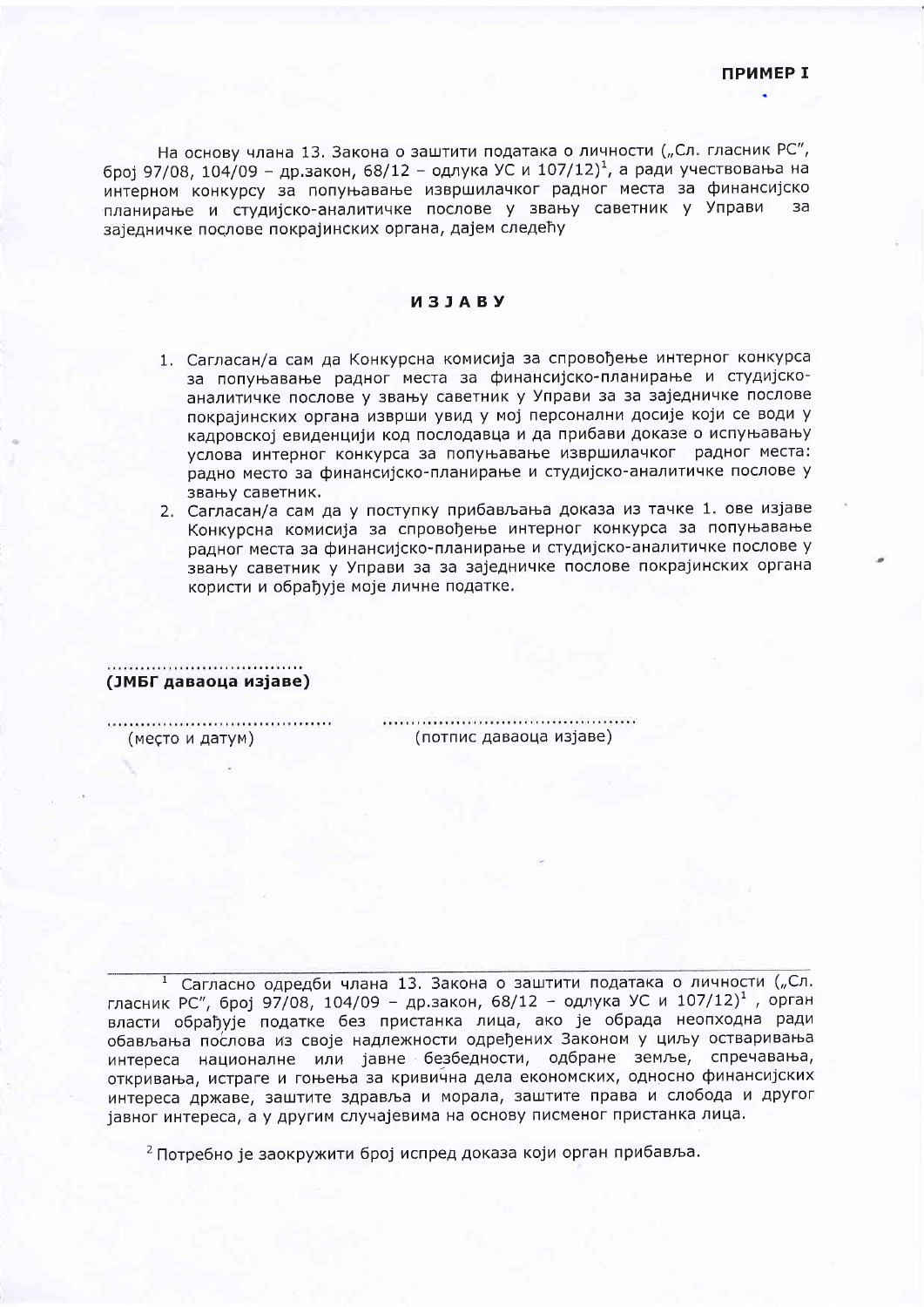На основу члана 13. Закона о заштити података о личности ("Сл. гласник РС", број 97/08, 104/09 - др.закон, 68/12 - одлука УС и 107/12)<sup>1</sup>, а ради учествовања на интерном конкурсу за попуњавање извршилачког радног места за финансијско планирање и студијско-аналитичке послове у звању саветник у Управи 3a заједничке послове покрајинских органа, дајем следећу

## *<u>M3JABY</u>*

- 1. Сагласан/а сам да Конкурсна комисија за спровођење интерног конкурса за попуњавање радног места за финансијско-планирање и студијскоаналитичке послове у звању саветник у Управи за за заједничке послове покрајинских органа изврши увид у мој персонални досије који се води у кадровској евиденцији код послодавца и да прибави доказе о испуњавању услова интерног конкурса за попуњавање извршилачког радног места: радно место за финансијско-планирање и студијско-аналитичке послове у звању саветник.
- 2. Сагласан/а сам да у поступку прибављања доказа из тачке 1. ове изјаве Конкурсна комисија за спровођење интерног конкурса за попуњавање радног места за финансијско-планирање и студијско-аналитичке послове у звању саветник у Управи за за заједничке послове покрајинских органа користи и обрађује моје личне податке.

(ЈМБГ даваоца изјаве)

(место и датум)

(потпис даваоца изјаве)

Сагласно одредби члана 13. Закона о заштити података о личности ("Сл. гласник РС", број 97/08, 104/09 - др.закон, 68/12 - одлука УС и 107/12)<sup>1</sup>, орган власти обрађује податке без пристанка лица, ако је обрада неопходна ради обављања послова из своје надлежности одређених Законом у циљу остваривања интереса националне или јавне безбедности, одбране земље, спречавања, откривања, истраге и гоњења за кривична дела економских, односно финансијских интереса државе, заштите здравља и морала, заштите права и слобода и другог јавног интереса, а у другим случајевима на основу писменог пристанка лица.

<sup>2</sup> Потребно је заокружити број испред доказа који орган прибавља.